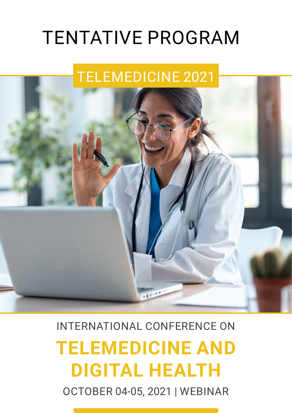# TENTATIVE PROGRAM

## TELEMEDICINE 2021



## INTERNATIONAL CONFERENCE ON

# **TELEMEDICINE AND DIGITAL HEALTH**

OCTOBER 04-05, 2021 | WEBINAR